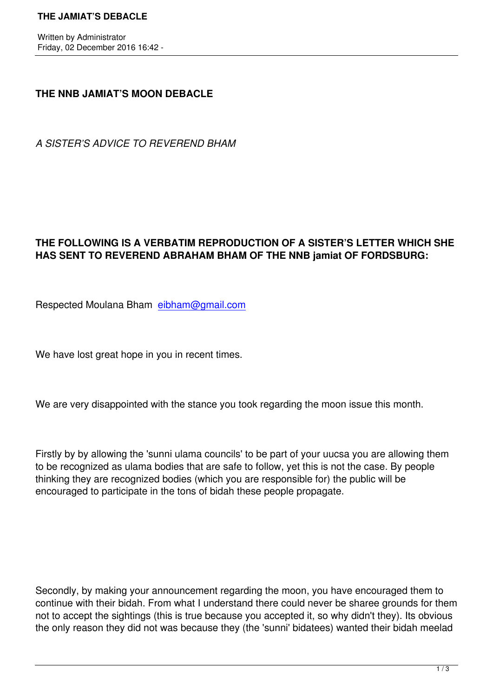## **THE NNB JAMIAT'S MOON DEBACLE**

*A SISTER'S ADVICE TO REVEREND BHAM*

## **THE FOLLOWING IS A VERBATIM REPRODUCTION OF A SISTER'S LETTER WHICH SHE HAS SENT TO REVEREND ABRAHAM BHAM OF THE NNB jamiat OF FORDSBURG:**

Respected Moulana Bham eibham@gmail.com

We have lost great hope in [you in recent times.](https://mail.google.com/mail/u/0/h/vhchsjvtxqxq/?&cs=wh&v=b&to=eibham@gmail.com)

We are very disappointed with the stance you took regarding the moon issue this month.

Firstly by by allowing the 'sunni ulama councils' to be part of your uucsa you are allowing them to be recognized as ulama bodies that are safe to follow, yet this is not the case. By people thinking they are recognized bodies (which you are responsible for) the public will be encouraged to participate in the tons of bidah these people propagate.

Secondly, by making your announcement regarding the moon, you have encouraged them to continue with their bidah. From what I understand there could never be sharee grounds for them not to accept the sightings (this is true because you accepted it, so why didn't they). Its obvious the only reason they did not was because they (the 'sunni' bidatees) wanted their bidah meelad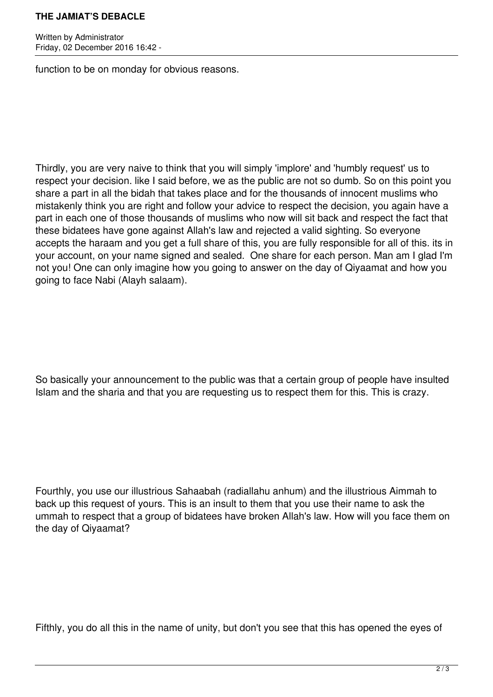## **THE JAMIAT'S DEBACLE**

Written by Administrator Friday, 02 December 2016 16:42 -

function to be on monday for obvious reasons.

Thirdly, you are very naive to think that you will simply 'implore' and 'humbly request' us to respect your decision. like I said before, we as the public are not so dumb. So on this point you share a part in all the bidah that takes place and for the thousands of innocent muslims who mistakenly think you are right and follow your advice to respect the decision, you again have a part in each one of those thousands of muslims who now will sit back and respect the fact that these bidatees have gone against Allah's law and rejected a valid sighting. So everyone accepts the haraam and you get a full share of this, you are fully responsible for all of this. its in your account, on your name signed and sealed. One share for each person. Man am I glad I'm not you! One can only imagine how you going to answer on the day of Qiyaamat and how you going to face Nabi (Alayh salaam).

So basically your announcement to the public was that a certain group of people have insulted Islam and the sharia and that you are requesting us to respect them for this. This is crazy.

Fourthly, you use our illustrious Sahaabah (radiallahu anhum) and the illustrious Aimmah to back up this request of yours. This is an insult to them that you use their name to ask the ummah to respect that a group of bidatees have broken Allah's law. How will you face them on the day of Qiyaamat?

Fifthly, you do all this in the name of unity, but don't you see that this has opened the eyes of